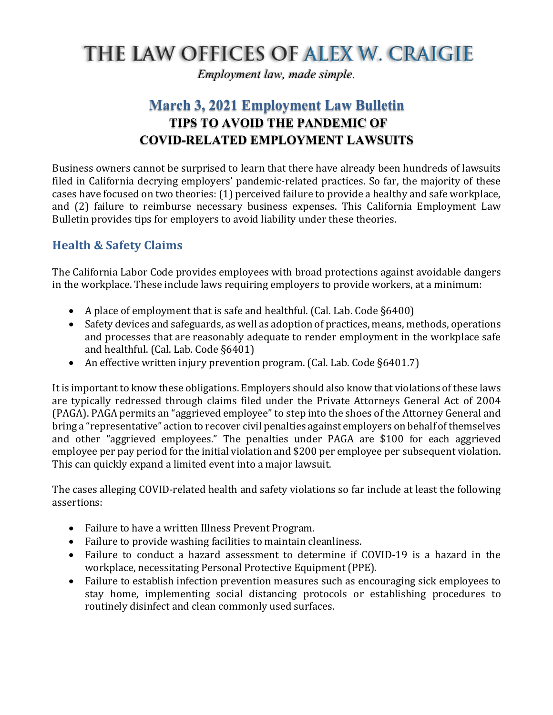# THE LAW OFFICES OF ALEX W. CRAIGIE

*Employment law, made simple.*

# **March 3, 2021 Employment Law Bulletin TIPS TO AVOID THE PANDEMIC OF COVID-RELATED EMPLOYMENT LAWSUITS**

Business owners cannot be surprised to learn that there have already been hundreds of lawsuits filed in California decrying employers' pandemic-related practices. So far, the majority of these cases have focused on two theories: (1) perceived failure to provide a healthy and safe workplace, and (2) failure to reimburse necessary business expenses. This California Employment Law Bulletin provides tips for employers to avoid liability under these theories.

## **Health & Safety Claims**

The California Labor Code provides employees with broad protections against avoidable dangers in the workplace. These include laws requiring employers to provide workers, at a minimum:

- A place of employment that is safe and healthful. (Cal. Lab. Code  $\S6400$ )
- Safety devices and safeguards, as well as adoption of practices, means, methods, operations and processes that are reasonably adequate to render employment in the workplace safe and healthful. (Cal. Lab. Code §6401)
- An effective written injury prevention program. (Cal. Lab. Code §6401.7)

It is important to know these obligations. Employers should also know that violations of these laws are typically redressed through claims filed under the Private Attorneys General Act of 2004 (PAGA). PAGA permits an "aggrieved employee" to step into the shoes of the Attorney General and bring a "representative" action to recover civil penalties against employers on behalf of themselves and other "aggrieved employees." The penalties under PAGA are \$100 for each aggrieved employee per pay period for the initial violation and \$200 per employee per subsequent violation. This can quickly expand a limited event into a major lawsuit.

The cases alleging COVID-related health and safety violations so far include at least the following assertions:

- Failure to have a written Illness Prevent Program.
- Failure to provide washing facilities to maintain cleanliness.
- Failure to conduct a hazard assessment to determine if COVID-19 is a hazard in the workplace, necessitating Personal Protective Equipment (PPE).
- Failure to establish infection prevention measures such as encouraging sick employees to stay home, implementing social distancing protocols or establishing procedures to routinely disinfect and clean commonly used surfaces.